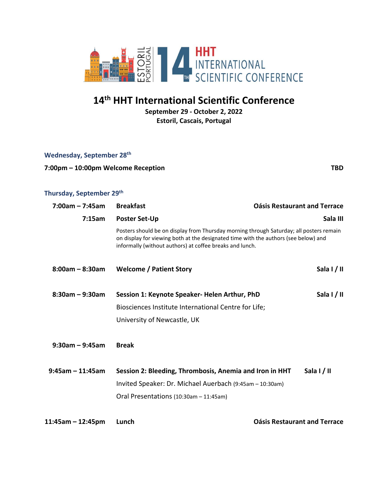

# **14 th HHT International Scientific Conference**

**September 29 - October 2, 2022 Estoril, Cascais, Portugal**

|  | Wednesday, September 28th |
|--|---------------------------|
|--|---------------------------|

#### **7:00pm – 10:00pm Welcome Reception TBD**

### **Thursday, September 29th**

| $7:00am - 7:45am$   | <b>Breakfast</b>                                                                                                                                                                                                                           | <b>Oásis Restaurant and Terrace</b> |
|---------------------|--------------------------------------------------------------------------------------------------------------------------------------------------------------------------------------------------------------------------------------------|-------------------------------------|
| 7:15am              | <b>Poster Set-Up</b>                                                                                                                                                                                                                       | Sala III                            |
|                     | Posters should be on display from Thursday morning through Saturday; all posters remain<br>on display for viewing both at the designated time with the authors (see below) and<br>informally (without authors) at coffee breaks and lunch. |                                     |
| $8:00am - 8:30am$   | <b>Welcome / Patient Story</b>                                                                                                                                                                                                             | Sala $1/11$                         |
| $8:30$ am - 9:30am  | Session 1: Keynote Speaker- Helen Arthur, PhD                                                                                                                                                                                              | Sala I / II                         |
|                     | Biosciences Institute International Centre for Life;                                                                                                                                                                                       |                                     |
|                     | University of Newcastle, UK                                                                                                                                                                                                                |                                     |
| $9:30$ am - 9:45am  | <b>Break</b>                                                                                                                                                                                                                               |                                     |
| $9:45$ am - 11:45am | Session 2: Bleeding, Thrombosis, Anemia and Iron in HHT                                                                                                                                                                                    | Sala I/II                           |
|                     | Invited Speaker: Dr. Michael Auerbach (9:45am - 10:30am)                                                                                                                                                                                   |                                     |
|                     | Oral Presentations (10:30am - 11:45am)                                                                                                                                                                                                     |                                     |
| $11:45am - 12:45pm$ | Lunch                                                                                                                                                                                                                                      | <b>Oásis Restaurant and Terrace</b> |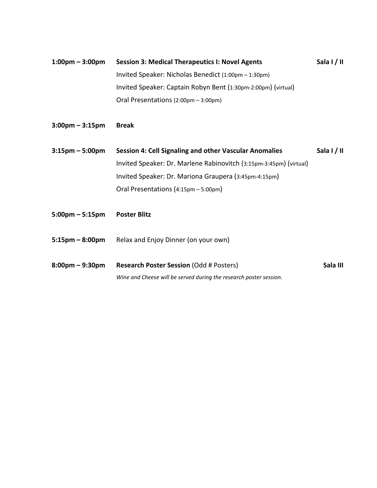- **1:00pm – 3:00pm Session 3: Medical Therapeutics I: Novel Agents Sala I / II** Invited Speaker: Nicholas Benedict (1:00pm – 1:30pm) Invited Speaker: Captain Robyn Bent (1:30pm-2:00pm) (virtual) Oral Presentations (2:00pm – 3:00pm)
- **3:00pm – 3:15pm Break**
- **3:15pm – 5:00pm Session 4: Cell Signaling and other Vascular Anomalies Sala I / II**  Invited Speaker: Dr. Marlene Rabinovitch (3:15pm-3:45pm) (virtual) Invited Speaker: Dr. Mariona Graupera (3:45pm-4:15pm) Oral Presentations (4:15pm – 5:00pm)
- **5:00pm – 5:15pm Poster Blitz**
- **5:15pm – 8:00pm** Relax and Enjoy Dinner (on your own)
- **8:00pm – 9:30pm Research Poster Session** (Odd # Posters) **Sala III** *Wine and Cheese will be served during the research poster session.*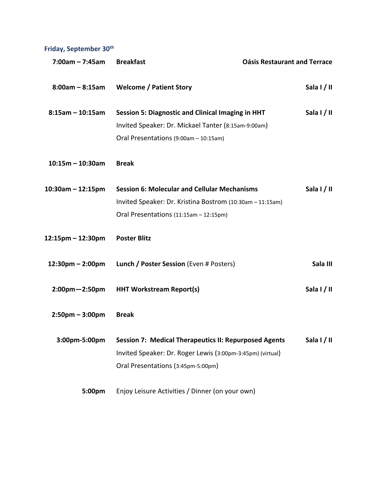**Friday, September 30th**

| $7:00am - 7:45am$                  | <b>Breakfast</b>                                             | <b>Oásis Restaurant and Terrace</b> |
|------------------------------------|--------------------------------------------------------------|-------------------------------------|
| $8:00am - 8:15am$                  | <b>Welcome / Patient Story</b>                               | Sala I/II                           |
| $8:15am - 10:15am$                 | <b>Session 5: Diagnostic and Clinical Imaging in HHT</b>     | Sala I/II                           |
|                                    | Invited Speaker: Dr. Mickael Tanter (8:15am-9:00am)          |                                     |
|                                    | Oral Presentations (9:00am - 10:15am)                        |                                     |
| $10:15m - 10:30am$                 | <b>Break</b>                                                 |                                     |
| $10:30$ am - 12:15pm               | <b>Session 6: Molecular and Cellular Mechanisms</b>          | Sala I/II                           |
|                                    | Invited Speaker: Dr. Kristina Bostrom (10:30am - 11:15am)    |                                     |
|                                    | Oral Presentations (11:15am - 12:15pm)                       |                                     |
| 12:15pm - 12:30pm                  | <b>Poster Blitz</b>                                          |                                     |
| $12:30 \text{pm} - 2:00 \text{pm}$ | Lunch / Poster Session (Even # Posters)                      | Sala III                            |
| $2:00$ pm $-2:50$ pm               | <b>HHT Workstream Report(s)</b>                              | Sala I/II                           |
| $2:50$ pm – 3:00pm                 | <b>Break</b>                                                 |                                     |
| 3:00pm-5:00pm                      | <b>Session 7: Medical Therapeutics II: Repurposed Agents</b> | Sala $1/11$                         |
|                                    | Invited Speaker: Dr. Roger Lewis (3:00pm-3:45pm) (virtual)   |                                     |
|                                    | Oral Presentations (3:45pm-5:00pm)                           |                                     |
| 5:00pm                             | Enjoy Leisure Activities / Dinner (on your own)              |                                     |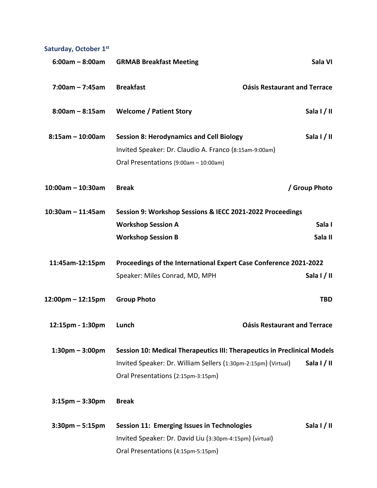# **Saturday, October 1st**

| $6:00am - 8:00am$     | <b>GRMAB Breakfast Meeting</b>                                           | Sala VI                             |
|-----------------------|--------------------------------------------------------------------------|-------------------------------------|
| $7:00am - 7:45am$     | <b>Breakfast</b>                                                         | <b>Oásis Restaurant and Terrace</b> |
| $8:00am - 8:15am$     | <b>Welcome / Patient Story</b>                                           | Sala $1/11$                         |
| $8:15$ am - 10:00am   | <b>Session 8: Herodynamics and Cell Biology</b>                          | Sala I/II                           |
|                       | Invited Speaker: Dr. Claudio A. Franco (8:15am-9:00am)                   |                                     |
|                       | Oral Presentations (9:00am - 10:00am)                                    |                                     |
| $10:00$ am - 10:30am  | <b>Break</b>                                                             | / Group Photo                       |
| $10:30$ am - 11:45am  | Session 9: Workshop Sessions & IECC 2021-2022 Proceedings                |                                     |
|                       | <b>Workshop Session A</b>                                                | Sala I                              |
|                       | <b>Workshop Session B</b>                                                | Sala II                             |
| 11:45am-12:15pm       | Proceedings of the International Expert Case Conference 2021-2022        |                                     |
|                       | Speaker: Miles Conrad, MD, MPH                                           | Sala I/II                           |
| 12:00pm - 12:15pm     | <b>Group Photo</b>                                                       | <b>TBD</b>                          |
| 12:15pm - 1:30pm      | Lunch                                                                    | <b>Oásis Restaurant and Terrace</b> |
| $1:30$ pm – $3:00$ pm | Session 10: Medical Therapeutics III: Therapeutics in Preclinical Models |                                     |
|                       | Invited Speaker: Dr. William Sellers (1:30pm-2:15pm) (Virtual)           | Sala $1/11$                         |
|                       | Oral Presentations (2:15pm-3:15pm)                                       |                                     |
| $3:15$ pm – $3:30$ pm | <b>Break</b>                                                             |                                     |
| $3:30$ pm – 5:15pm    | <b>Session 11: Emerging Issues in Technologies</b>                       | Sala I/II                           |
|                       | Invited Speaker: Dr. David Liu (3:30pm-4:15pm) (virtual)                 |                                     |
|                       | Oral Presentations (4:15pm-5:15pm)                                       |                                     |